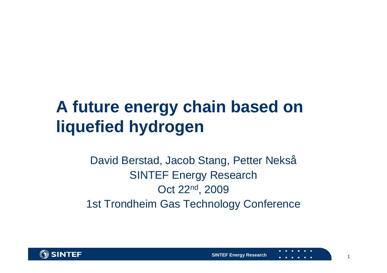## **A future energy chain based on liquefied hydrogen**

### David Berstad, Jacob Stang, Petter Nekså SINTEF Energy Research Oct 22nd, 2009 1st Trondheim Gas Technology Conference

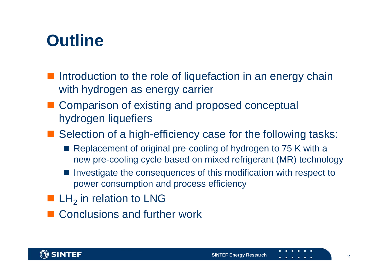## **Outline**

- Introduction to the role of liquefaction in an energy chain with hydrogen as energy carrier
- Comparison of existing and proposed conceptual hydrogen liquefiers
- Selection of a high-efficiency case for the following tasks:
	- Replacement of original pre-cooling of hydrogen to 75 K with a new pre-cooling cycle based on mixed refrigerant (MR) technology
	- Investigate the consequences of this modification with respect to power consumption and process efficiency
- **LH**<sub>2</sub> in relation to LNG
- Conclusions and further work

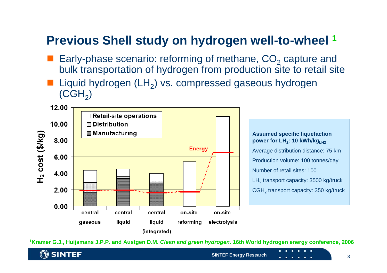### **Previous Shell study on hydrogen well-to-wheel <sup>1</sup>**

- p. **Early-phase scenario: reforming of methane,**  $CO<sub>2</sub>$  **capture and** bulk transportation of hydrogen from production site to retail site
- Liquid hydrogen  $(LH_2)$  vs. compressed gaseous hydrogen  $(CGH<sub>2</sub>)$



**1Kramer G.J., Huijsmans J.P.P. and Austgen D.M.** *Clean and green hydrogen***. 16th World hydrogen energy conference, 2006**

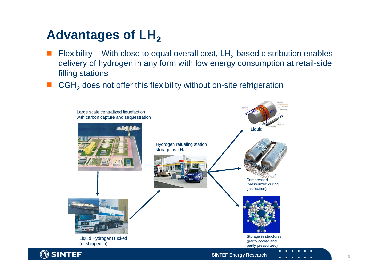### **Advantages of LH2**

- Flexibility With close to equal overall cost,  $LH_2$ -based distribution enables delivery of hydrogen in any form with low energy consumption at retail-side filling stations
- $\blacksquare$  CGH<sub>2</sub> does not offer this flexibility without on-site refrigeration

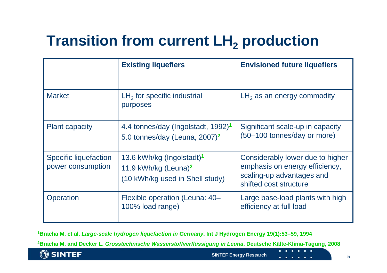## **Transition from current LH2 production**

|                                            | <b>Existing liquefiers</b>                                                                                   | <b>Envisioned future liquefiers</b>                                                                                       |  |
|--------------------------------------------|--------------------------------------------------------------------------------------------------------------|---------------------------------------------------------------------------------------------------------------------------|--|
| <b>Market</b>                              | $LH2$ for specific industrial<br>purposes                                                                    | $LH2$ as an energy commodity                                                                                              |  |
| <b>Plant capacity</b>                      | 4.4 tonnes/day (Ingolstadt, 1992) <sup>1</sup><br>5.0 tonnes/day (Leuna, $2007$ ) <sup>2</sup>               | Significant scale-up in capacity<br>(50-100 tonnes/day or more)                                                           |  |
| Specific liquefaction<br>power consumption | 13.6 kWh/kg (Ingolstadt) <sup>1</sup><br>11.9 kWh/kg (Leuna) <sup>2</sup><br>(10 kWh/kg used in Shell study) | Considerably lower due to higher<br>emphasis on energy efficiency,<br>scaling-up advantages and<br>shifted cost structure |  |
| Operation                                  | Flexible operation (Leuna: 40-<br>100% load range)                                                           | Large base-load plants with high<br>efficiency at full load                                                               |  |

**1Bracha M. et al.** *Large-scale hydrogen liquefaction in Germany***. Int J Hydrogen Energy 19(1):53–59, 1994**

**2Bracha M. and Decker L.** *Grosstechnische Wasserstoffverflüssigung in Leuna***. Deutsche Kälte-Klima-Tagung, 2008**

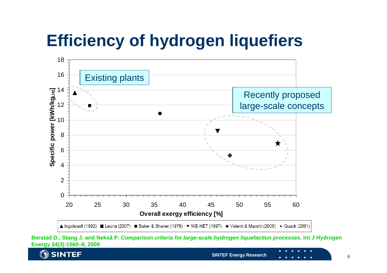

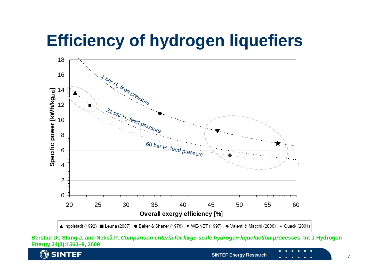

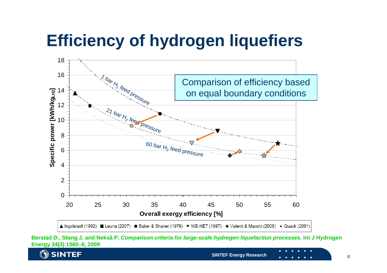

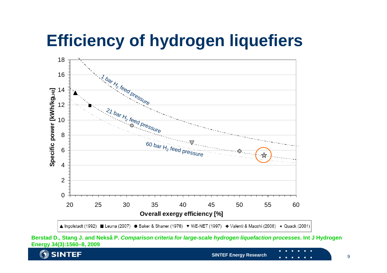

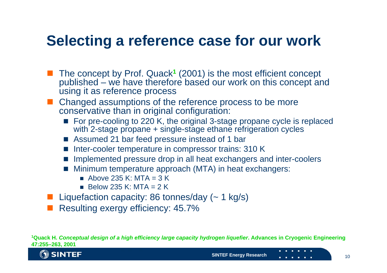### **Selecting a reference case for our work**

- The concept by Prof. Quack**<sup>1</sup>** (2001) is the most efficient concept published – we have therefore based our work on this concept and using it as reference process
- Changed assumptions of the reference process to be more conservative than in original configuration:
	- For pre-cooling to 220 K, the original 3-stage propane cycle is replaced with 2-stage propane + single-stage ethane refrigeration cycles
	- Assumed 21 bar feed pressure instead of 1 bar
	- Inter-cooler temperature in compressor trains: 310 K
	- o. Implemented pressure drop in all heat exchangers and inter-coolers
	- **Minimum temperature approach (MTA) in heat exchangers:** 
		- $\blacksquare$  Above 235 K: MTA = 3 K
		- $\blacksquare$  Below 235 K: MTA = 2 K
- **Liquefaction capacity: 86 tonnes/day (~ 1 kg/s)**
- Resulting exergy efficiency: 45.7%

**1Quack H.** *Conceptual design of a high efficiency large capacity hydrogen liquefier***. Advances in Cryogenic Engineering 47:255–263, 2001**

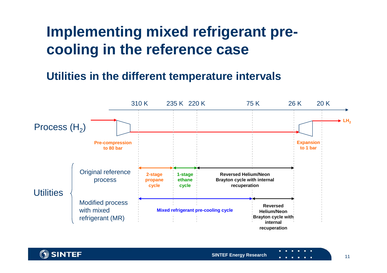## **Implementing mixed refrigerant precooling in the reference case**

#### **Utilities in the different temperature intervals**



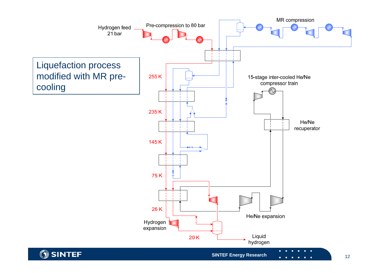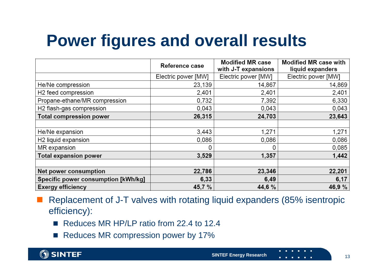## **Power figures and overall results**

|                                     | Reference case      | <b>Modified MR case</b><br>with J-T expansions | <b>Modified MR case with</b><br>liquid expanders |
|-------------------------------------|---------------------|------------------------------------------------|--------------------------------------------------|
|                                     | Electric power [MW] | Electric power [MW]                            | Electric power [MW]                              |
| He/Ne compression                   | 23,139              | 14,867                                         | 14,869                                           |
| H <sub>2</sub> feed compression     | 2,401               | 2,401                                          | 2,401                                            |
| Propane-ethane/MR compression       | 0,732               | 7,392                                          | 6,330                                            |
| H2 flash-gas compression            | 0,043               | 0,043                                          | 0,043                                            |
| <b>Total compression power</b>      | 26,315              | 24,703                                         | 23,643                                           |
|                                     |                     |                                                |                                                  |
| He/Ne expansion                     | 3,443               | 1,271                                          | 1,271                                            |
| H2 liquid expansion                 | 0,086               | 0,086                                          | 0,086                                            |
| MR expansion                        |                     | 0                                              | 0,085                                            |
| <b>Total expansion power</b>        | 3,529               | 1,357                                          | 1,442                                            |
|                                     |                     |                                                |                                                  |
| Net power consumption               | 22,786              | 23,346                                         | 22,201                                           |
| Specific power consumption [kWh/kg] | 6,33                | 6,49                                           | 6,17                                             |
| <b>Exergy efficiency</b>            | 45,7 %              | 44,6%                                          | 46,9 %                                           |

 Replacement of J-T valves with rotating liquid expanders (85% isentropic efficiency):

- Reduces MR HP/LP ratio from 22.4 to 12.4
- Reduces MR compression power by 17%

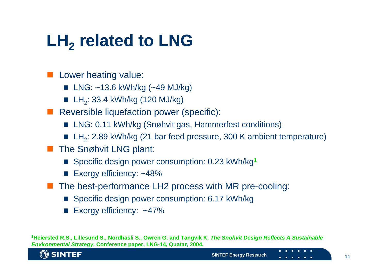# **LH2 related to LNG**

**Lower heating value:** 

- LNG: ~13.6 kWh/kg (~49 MJ/kg)
- $\blacksquare$  LH<sub>2</sub>: 33.4 kWh/kg (120 MJ/kg)
- **Reversible liquefaction power (specific):** 
	- LNG: 0.11 kWh/kg (Snøhvit gas, Hammerfest conditions)
	- LH<sub>2</sub>: 2.89 kWh/kg (21 bar feed pressure, 300 K ambient temperature)
- **The Snøhvit LNG plant:** 
	- Specific design power consumption: 0.23 kWh/kg<sup>1</sup>
	- Exergy efficiency: ~48%
- The best-performance LH2 process with MR pre-cooling:
	- Specific design power consumption: 6.17 kWh/kg
	- Exergy efficiency: ~47%

**1Heiersted R.S., Lillesund S., Nordhasli S., Owren G. and Tangvik K.** *The Snohvit Design Reflects A Sustainable Environmental Strategy***. Conference paper, LNG-14, Quatar, 2004.**

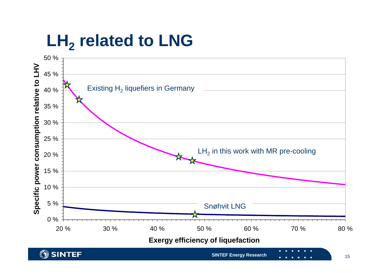# **LH 2 related to LNG**

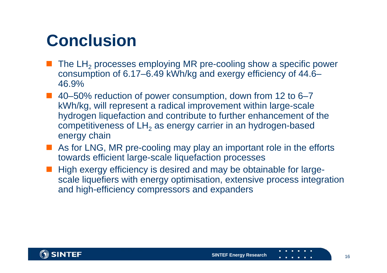## **Conclusion**

- $\blacksquare$  The LH<sub>2</sub> processes employing MR pre-cooling show a specific power consumption of 6.17–6.49 kWh/kg and exergy efficiency of 44.6– 46.9%
- 40–50% reduction of power consumption, down from 12 to 6–7 kWh/kg, will represent a radical improvement within large-scale hydrogen liquefaction and contribute to further enhancement of the competitiveness of LH $_{\rm 2}$  as energy carrier in an hydrogen-based energy chain
- As for LNG, MR pre-cooling may play an important role in the efforts towards efficient large-scale liquefaction processes
- High exergy efficiency is desired and may be obtainable for largescale liquefiers with energy optimisation, extensive process integration and high-efficiency compressors and expanders

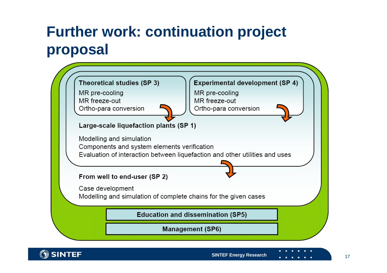## **Further work: continuation project proposal**